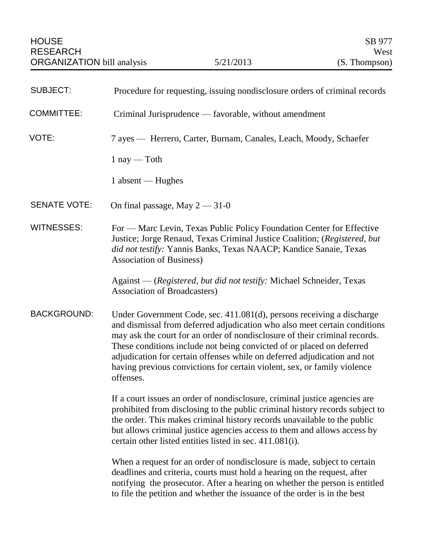| <b>SUBJECT:</b>     | Procedure for requesting, issuing nondisclosure orders of criminal records                                                                                                                                                                                                                                                                                                                                                                                                     |
|---------------------|--------------------------------------------------------------------------------------------------------------------------------------------------------------------------------------------------------------------------------------------------------------------------------------------------------------------------------------------------------------------------------------------------------------------------------------------------------------------------------|
| <b>COMMITTEE:</b>   | Criminal Jurisprudence — favorable, without amendment                                                                                                                                                                                                                                                                                                                                                                                                                          |
| VOTE:               | 7 ayes — Herrero, Carter, Burnam, Canales, Leach, Moody, Schaefer                                                                                                                                                                                                                                                                                                                                                                                                              |
|                     | $1$ nay — Toth                                                                                                                                                                                                                                                                                                                                                                                                                                                                 |
|                     | $1$ absent — Hughes                                                                                                                                                                                                                                                                                                                                                                                                                                                            |
| <b>SENATE VOTE:</b> | On final passage, May $2 - 31 - 0$                                                                                                                                                                                                                                                                                                                                                                                                                                             |
| <b>WITNESSES:</b>   | For — Marc Levin, Texas Public Policy Foundation Center for Effective<br>Justice; Jorge Renaud, Texas Criminal Justice Coalition; (Registered, but<br>did not testify: Yannis Banks, Texas NAACP; Kandice Sanaie, Texas<br><b>Association of Business)</b>                                                                                                                                                                                                                     |
|                     | Against — (Registered, but did not testify: Michael Schneider, Texas<br>Association of Broadcasters)                                                                                                                                                                                                                                                                                                                                                                           |
| <b>BACKGROUND:</b>  | Under Government Code, sec. 411.081(d), persons receiving a discharge<br>and dismissal from deferred adjudication who also meet certain conditions<br>may ask the court for an order of nondisclosure of their criminal records.<br>These conditions include not being convicted of or placed on deferred<br>adjudication for certain offenses while on deferred adjudication and not<br>having previous convictions for certain violent, sex, or family violence<br>offenses. |
|                     | If a court issues an order of nondisclosure, criminal justice agencies are<br>prohibited from disclosing to the public criminal history records subject to<br>the order. This makes criminal history records unavailable to the public<br>but allows criminal justice agencies access to them and allows access by<br>certain other listed entities listed in sec. 411.081(i).                                                                                                 |
|                     | When a request for an order of nondisclosure is made, subject to certain<br>deadlines and criteria, courts must hold a hearing on the request, after<br>notifying the prosecutor. After a hearing on whether the person is entitled<br>to file the petition and whether the issuance of the order is in the best                                                                                                                                                               |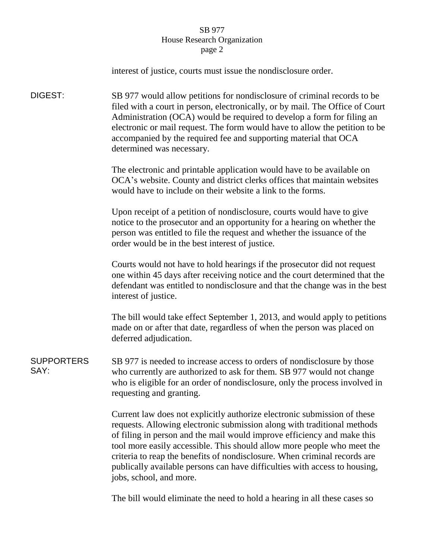## SB 977 House Research Organization page 2

|                           | interest of justice, courts must issue the nondisclosure order.                                                                                                                                                                                                                                                                                                                                                                                                                                 |
|---------------------------|-------------------------------------------------------------------------------------------------------------------------------------------------------------------------------------------------------------------------------------------------------------------------------------------------------------------------------------------------------------------------------------------------------------------------------------------------------------------------------------------------|
| DIGEST:                   | SB 977 would allow petitions for nondisclosure of criminal records to be<br>filed with a court in person, electronically, or by mail. The Office of Court<br>Administration (OCA) would be required to develop a form for filing an<br>electronic or mail request. The form would have to allow the petition to be<br>accompanied by the required fee and supporting material that OCA<br>determined was necessary.                                                                             |
|                           | The electronic and printable application would have to be available on<br>OCA's website. County and district clerks offices that maintain websites<br>would have to include on their website a link to the forms.                                                                                                                                                                                                                                                                               |
|                           | Upon receipt of a petition of nondisclosure, courts would have to give<br>notice to the prosecutor and an opportunity for a hearing on whether the<br>person was entitled to file the request and whether the issuance of the<br>order would be in the best interest of justice.                                                                                                                                                                                                                |
|                           | Courts would not have to hold hearings if the prosecutor did not request<br>one within 45 days after receiving notice and the court determined that the<br>defendant was entitled to nondisclosure and that the change was in the best<br>interest of justice.                                                                                                                                                                                                                                  |
|                           | The bill would take effect September 1, 2013, and would apply to petitions<br>made on or after that date, regardless of when the person was placed on<br>deferred adjudication.                                                                                                                                                                                                                                                                                                                 |
| <b>SUPPORTERS</b><br>SAY: | SB 977 is needed to increase access to orders of nondisclosure by those<br>who currently are authorized to ask for them. SB 977 would not change<br>who is eligible for an order of nondisclosure, only the process involved in<br>requesting and granting.                                                                                                                                                                                                                                     |
|                           | Current law does not explicitly authorize electronic submission of these<br>requests. Allowing electronic submission along with traditional methods<br>of filing in person and the mail would improve efficiency and make this<br>tool more easily accessible. This should allow more people who meet the<br>criteria to reap the benefits of nondisclosure. When criminal records are<br>publically available persons can have difficulties with access to housing,<br>jobs, school, and more. |

The bill would eliminate the need to hold a hearing in all these cases so